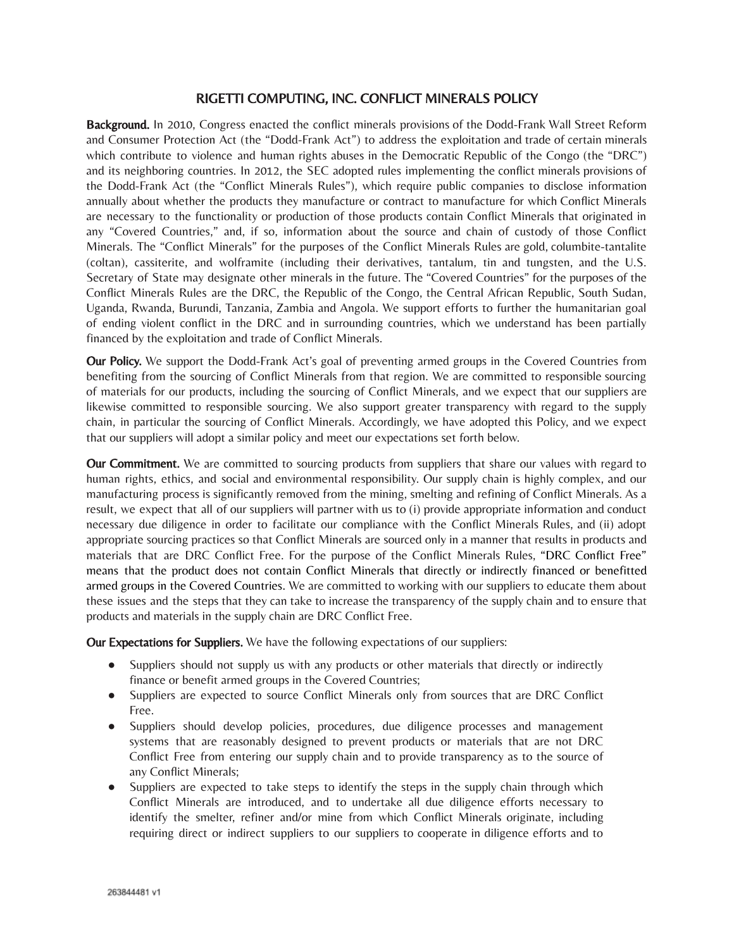## RIGETTI COMPUTING, INC. CONFLICT MINERALS POLICY

Background. In 2010, Congress enacted the conflict minerals provisions of the Dodd-Frank Wall Street Reform and Consumer Protection Act (the "Dodd-Frank Act") to address the exploitation and trade of certain minerals which contribute to violence and human rights abuses in the Democratic Republic of the Congo (the "DRC") and its neighboring countries. In 2012, the SEC adopted rules implementing the conflict minerals provisions of the Dodd-Frank Act (the "Conflict Minerals Rules"), which require public companies to disclose information annually about whether the products they manufacture or contract to manufacture for which Conflict Minerals are necessary to the functionality or production of those products contain Conflict Minerals that originated in any "Covered Countries," and, if so, information about the source and chain of custody of those Conflict Minerals. The "Conflict Minerals" for the purposes of the Conflict Minerals Rules are gold, columbite-tantalite (coltan), cassiterite, and wolframite (including their derivatives, tantalum, tin and tungsten, and the U.S. Secretary of State may designate other minerals in the future. The "Covered Countries" for the purposes of the Conflict Minerals Rules are the DRC, the Republic of the Congo, the Central African Republic, South Sudan, Uganda, Rwanda, Burundi, Tanzania, Zambia and Angola. We support efforts to further the humanitarian goal of ending violent conflict in the DRC and in surrounding countries, which we understand has been partially financed by the exploitation and trade of Conflict Minerals.

Our Policy. We support the Dodd-Frank Act's goal of preventing armed groups in the Covered Countries from benefiting from the sourcing of Conflict Minerals from that region. We are committed to responsible sourcing of materials for our products, including the sourcing of Conflict Minerals, and we expect that our suppliers are likewise committed to responsible sourcing. We also support greater transparency with regard to the supply chain, in particular the sourcing of Conflict Minerals. Accordingly, we have adopted this Policy, and we expect that our suppliers will adopt a similar policy and meet our expectations set forth below.

**Our Commitment.** We are committed to sourcing products from suppliers that share our values with regard to human rights, ethics, and social and environmental responsibility. Our supply chain is highly complex, and our manufacturing process is significantly removed from the mining, smelting and refining of Conflict Minerals. As a result, we expect that all of our suppliers will partner with us to (i) provide appropriate information and conduct necessary due diligence in order to facilitate our compliance with the Conflict Minerals Rules, and (ii) adopt appropriate sourcing practices so that Conflict Minerals are sourced only in a manner that results in products and materials that are DRC Conflict Free. For the purpose of the Conflict Minerals Rules, "DRC Conflict Free" means that the product does not contain Conflict Minerals that directly or indirectly financed or benefitted armed groups in the Covered Countries. We are committed to working with our suppliers to educate them about these issues and the steps that they can take to increase the transparency of the supply chain and to ensure that products and materials in the supply chain are DRC Conflict Free.

Our Expectations for Suppliers. We have the following expectations of our suppliers:

- Suppliers should not supply us with any products or other materials that directly or indirectly finance or benefit armed groups in the Covered Countries;
- Suppliers are expected to source Conflict Minerals only from sources that are DRC Conflict Free.
- Suppliers should develop policies, procedures, due diligence processes and management systems that are reasonably designed to prevent products or materials that are not DRC Conflict Free from entering our supply chain and to provide transparency as to the source of any Conflict Minerals;
- Suppliers are expected to take steps to identify the steps in the supply chain through which Conflict Minerals are introduced, and to undertake all due diligence efforts necessary to identify the smelter, refiner and/or mine from which Conflict Minerals originate, including requiring direct or indirect suppliers to our suppliers to cooperate in diligence efforts and to